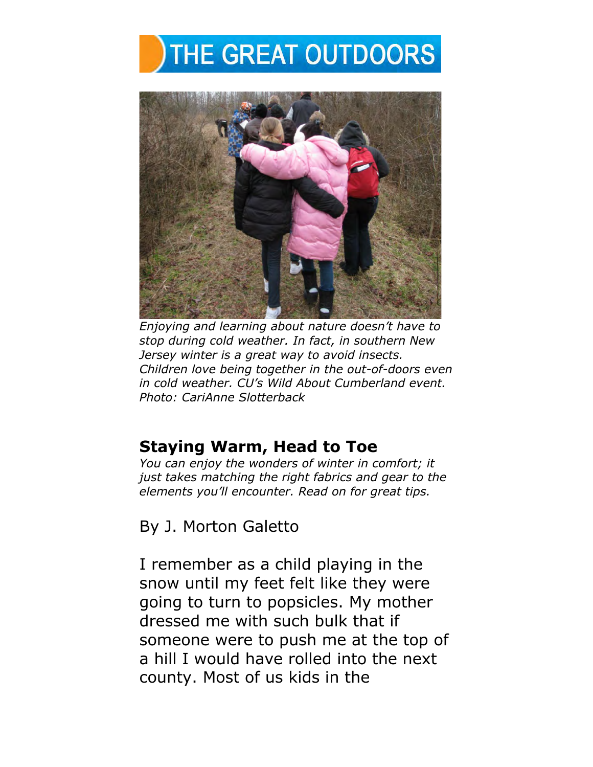## THE GREAT OUTDOORS



*Enjoying and learning about nature doesn't have to stop during cold weather. In fact, in southern New Jersey winter is a great way to avoid insects. Children love being together in the out-of-doors even in cold weather. CU's Wild About Cumberland event. Photo: CariAnne Slotterback* 

## **Staying Warm, Head to Toe**

*You can enjoy the wonders of winter in comfort; it just takes matching the right fabrics and gear to the elements you'll encounter. Read on for great tips.* 

By J. Morton Galetto

I remember as a child playing in the snow until my feet felt like they were going to turn to popsicles. My mother dressed me with such bulk that if someone were to push me at the top of a hill I would have rolled into the next county. Most of us kids in the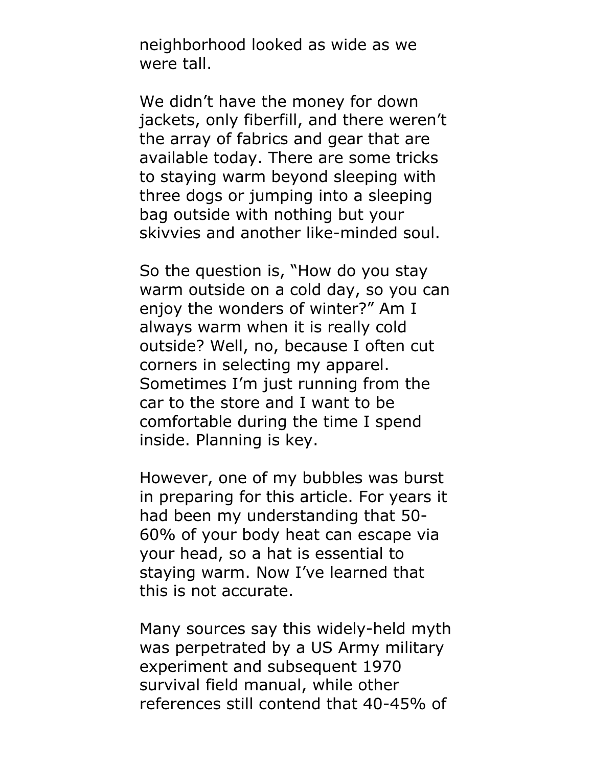neighborhood looked as wide as we were tall.

We didn't have the money for down jackets, only fiberfill, and there weren't the array of fabrics and gear that are available today. There are some tricks to staying warm beyond sleeping with three dogs or jumping into a sleeping bag outside with nothing but your skivvies and another like-minded soul.

So the question is, "How do you stay warm outside on a cold day, so you can enjoy the wonders of winter?" Am I always warm when it is really cold outside? Well, no, because I often cut corners in selecting my apparel. Sometimes I'm just running from the car to the store and I want to be comfortable during the time I spend inside. Planning is key.

However, one of my bubbles was burst in preparing for this article. For years it had been my understanding that 50- 60% of your body heat can escape via your head, so a hat is essential to staying warm. Now I've learned that this is not accurate.

Many sources say this widely-held myth was perpetrated by a US Army military experiment and subsequent 1970 survival field manual, while other references still contend that 40-45% of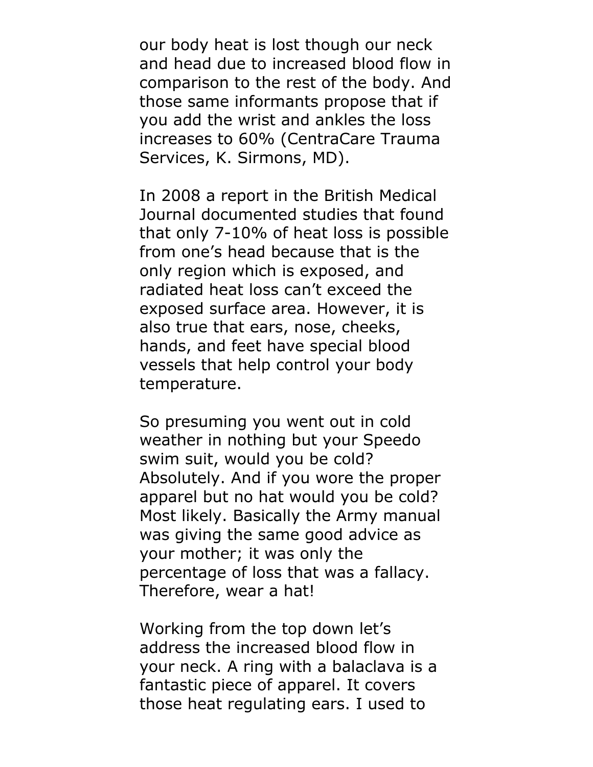our body heat is lost though our neck and head due to increased blood flow in comparison to the rest of the body. And those same informants propose that if you add the wrist and ankles the loss increases to 60% (CentraCare Trauma Services, K. Sirmons, MD).

In 2008 a report in the British Medical Journal documented studies that found that only 7-10% of heat loss is possible from one's head because that is the only region which is exposed, and radiated heat loss can't exceed the exposed surface area. However, it is also true that ears, nose, cheeks, hands, and feet have special blood vessels that help control your body temperature.

So presuming you went out in cold weather in nothing but your Speedo swim suit, would you be cold? Absolutely. And if you wore the proper apparel but no hat would you be cold? Most likely. Basically the Army manual was giving the same good advice as your mother; it was only the percentage of loss that was a fallacy. Therefore, wear a hat!

Working from the top down let's address the increased blood flow in your neck. A ring with a balaclava is a fantastic piece of apparel. It covers those heat regulating ears. I used to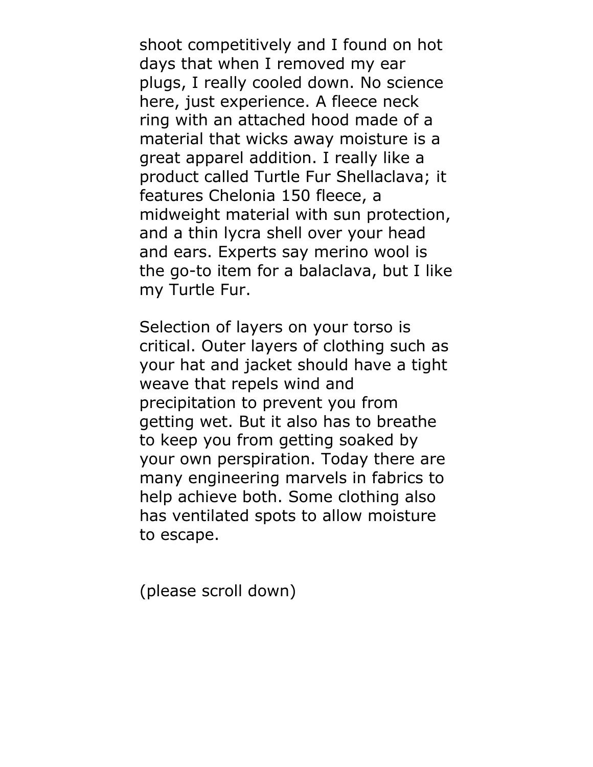shoot competitively and I found on hot days that when I removed my ear plugs, I really cooled down. No science here, just experience. A fleece neck ring with an attached hood made of a material that wicks away moisture is a great apparel addition. I really like a product called Turtle Fur Shellaclava; it features Chelonia 150 fleece, a midweight material with sun protection, and a thin lycra shell over your head and ears. Experts say merino wool is the go-to item for a balaclava, but I like my Turtle Fur.

Selection of layers on your torso is critical. Outer layers of clothing such as your hat and jacket should have a tight weave that repels wind and precipitation to prevent you from getting wet. But it also has to breathe to keep you from getting soaked by your own perspiration. Today there are many engineering marvels in fabrics to help achieve both. Some clothing also has ventilated spots to allow moisture to escape.

(please scroll down)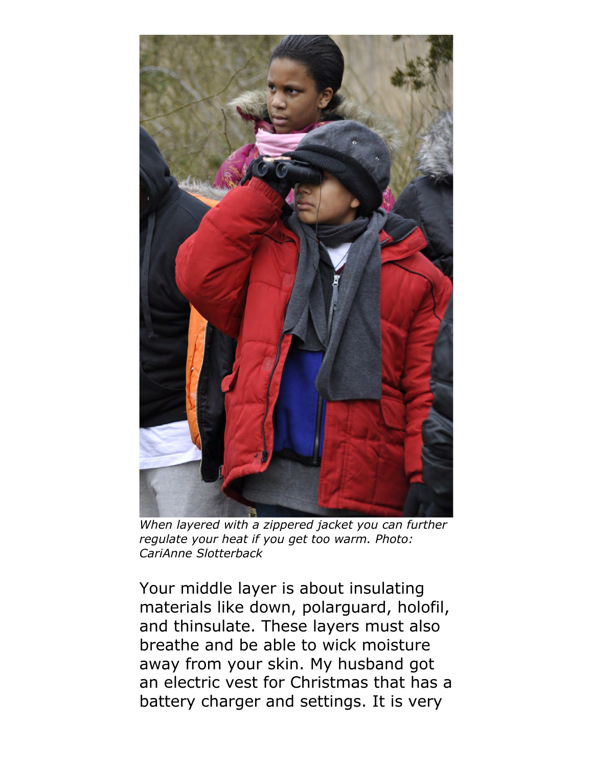

*When layered with a zippered jacket you can further regulate your heat if you get too warm. Photo: CariAnne Slotterback* 

Your middle layer is about insulating materials like down, polarguard, holofil, and thinsulate. These layers must also breathe and be able to wick moisture away from your skin. My husband got an electric vest for Christmas that has a battery charger and settings. It is very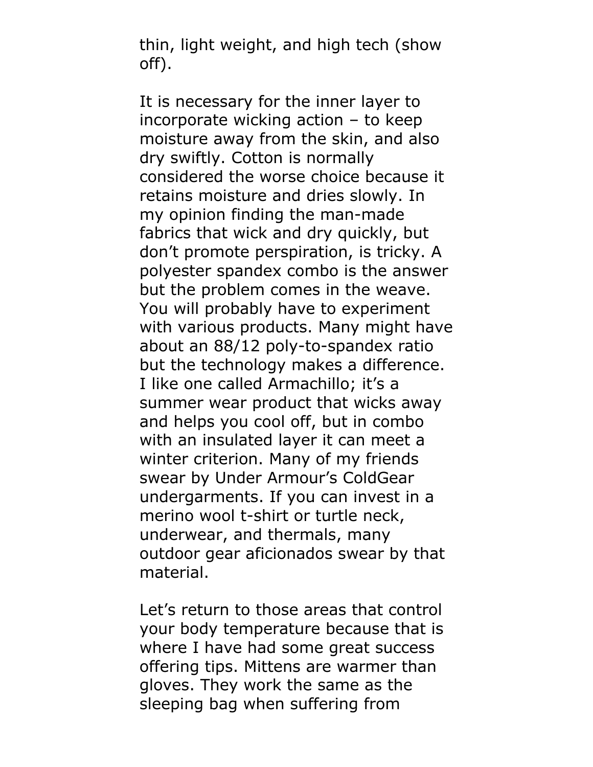thin, light weight, and high tech (show off).

It is necessary for the inner layer to incorporate wicking action – to keep moisture away from the skin, and also dry swiftly. Cotton is normally considered the worse choice because it retains moisture and dries slowly. In my opinion finding the man-made fabrics that wick and dry quickly, but don't promote perspiration, is tricky. A polyester spandex combo is the answer but the problem comes in the weave. You will probably have to experiment with various products. Many might have about an 88/12 poly-to-spandex ratio but the technology makes a difference. I like one called Armachillo; it's a summer wear product that wicks away and helps you cool off, but in combo with an insulated layer it can meet a winter criterion. Many of my friends swear by Under Armour's ColdGear undergarments. If you can invest in a merino wool t-shirt or turtle neck, underwear, and thermals, many outdoor gear aficionados swear by that material.

Let's return to those areas that control your body temperature because that is where I have had some great success offering tips. Mittens are warmer than gloves. They work the same as the sleeping bag when suffering from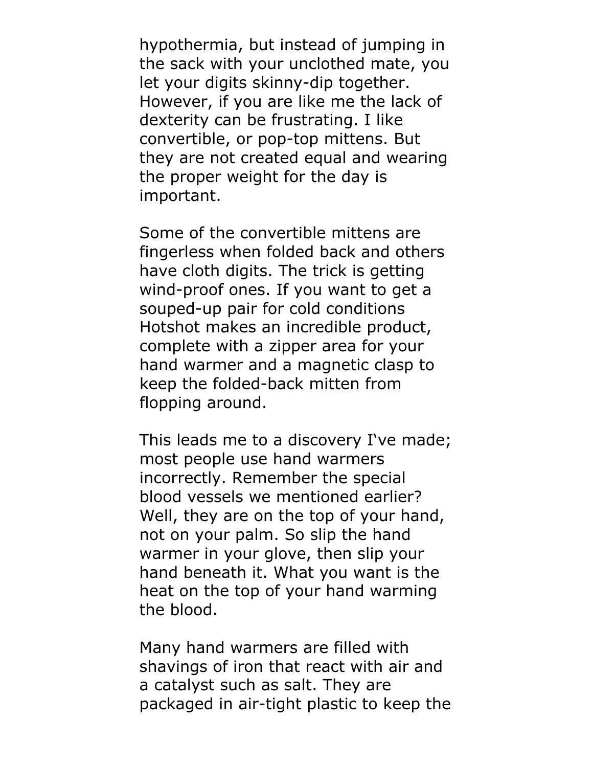hypothermia, but instead of jumping in the sack with your unclothed mate, you let your digits skinny-dip together. However, if you are like me the lack of dexterity can be frustrating. I like convertible, or pop-top mittens. But they are not created equal and wearing the proper weight for the day is important.

Some of the convertible mittens are fingerless when folded back and others have cloth digits. The trick is getting wind-proof ones. If you want to get a souped-up pair for cold conditions Hotshot makes an incredible product, complete with a zipper area for your hand warmer and a magnetic clasp to keep the folded-back mitten from flopping around.

This leads me to a discovery I've made; most people use hand warmers incorrectly. Remember the special blood vessels we mentioned earlier? Well, they are on the top of your hand, not on your palm. So slip the hand warmer in your glove, then slip your hand beneath it. What you want is the heat on the top of your hand warming the blood.

Many hand warmers are filled with shavings of iron that react with air and a catalyst such as salt. They are packaged in air-tight plastic to keep the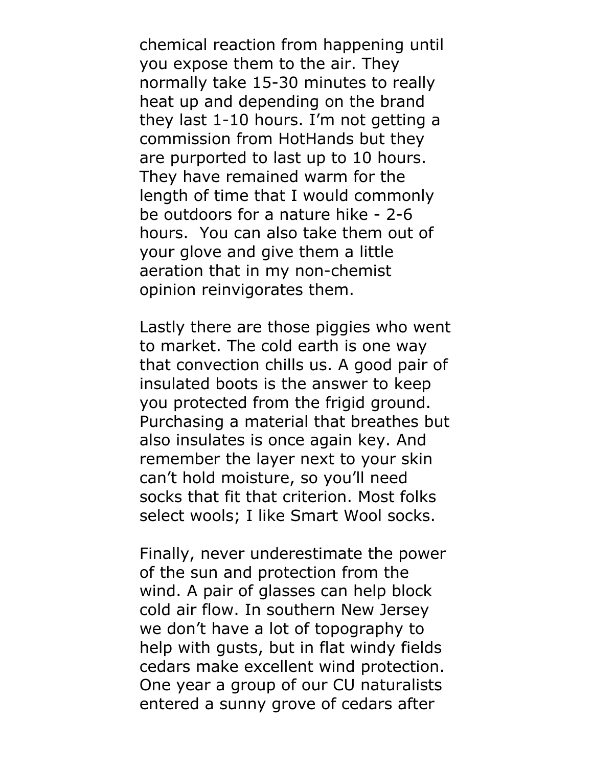chemical reaction from happening until you expose them to the air. They normally take 15-30 minutes to really heat up and depending on the brand they last 1-10 hours. I'm not getting a commission from HotHands but they are purported to last up to 10 hours. They have remained warm for the length of time that I would commonly be outdoors for a nature hike - 2-6 hours. You can also take them out of your glove and give them a little aeration that in my non-chemist opinion reinvigorates them.

Lastly there are those piggies who went to market. The cold earth is one way that convection chills us. A good pair of insulated boots is the answer to keep you protected from the frigid ground. Purchasing a material that breathes but also insulates is once again key. And remember the layer next to your skin can't hold moisture, so you'll need socks that fit that criterion. Most folks select wools; I like Smart Wool socks.

Finally, never underestimate the power of the sun and protection from the wind. A pair of glasses can help block cold air flow. In southern New Jersey we don't have a lot of topography to help with gusts, but in flat windy fields cedars make excellent wind protection. One year a group of our CU naturalists entered a sunny grove of cedars after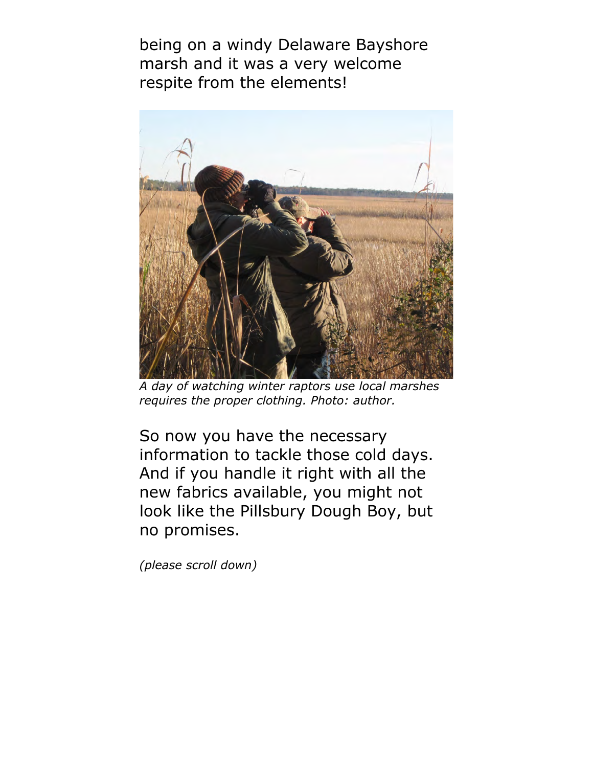being on a windy Delaware Bayshore marsh and it was a very welcome respite from the elements!



*A day of watching winter raptors use local marshes requires the proper clothing. Photo: author.* 

So now you have the necessary information to tackle those cold days. And if you handle it right with all the new fabrics available, you might not look like the Pillsbury Dough Boy, but no promises.

*(please scroll down)*